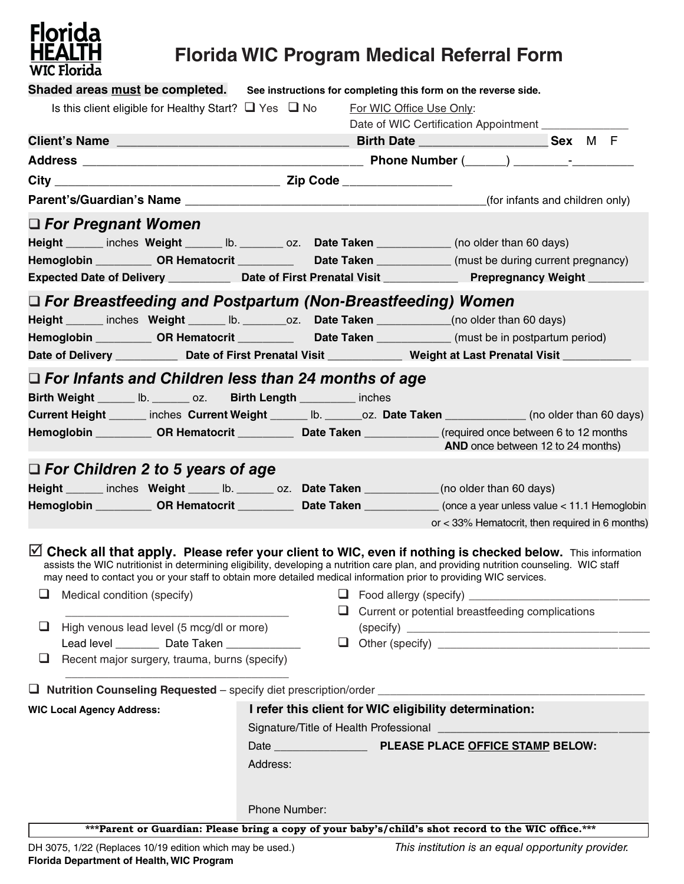

## **Florida WIC Program Medical Referral Form**

| Shaded areas must be completed. See instructions for completing this form on the reverse side.                                                                                                                                                                                                                                                                                          |                                                        |                                                        |                                                    |  |  |  |
|-----------------------------------------------------------------------------------------------------------------------------------------------------------------------------------------------------------------------------------------------------------------------------------------------------------------------------------------------------------------------------------------|--------------------------------------------------------|--------------------------------------------------------|----------------------------------------------------|--|--|--|
| Is this client eligible for Healthy Start? $\Box$ Yes $\Box$ No For WIC Office Use Only:                                                                                                                                                                                                                                                                                                |                                                        |                                                        |                                                    |  |  |  |
|                                                                                                                                                                                                                                                                                                                                                                                         |                                                        | Date of WIC Certification Appointment ________________ |                                                    |  |  |  |
|                                                                                                                                                                                                                                                                                                                                                                                         |                                                        |                                                        |                                                    |  |  |  |
|                                                                                                                                                                                                                                                                                                                                                                                         |                                                        |                                                        |                                                    |  |  |  |
|                                                                                                                                                                                                                                                                                                                                                                                         |                                                        |                                                        |                                                    |  |  |  |
|                                                                                                                                                                                                                                                                                                                                                                                         |                                                        |                                                        |                                                    |  |  |  |
| $\Box$ For Pregnant Women                                                                                                                                                                                                                                                                                                                                                               |                                                        |                                                        |                                                    |  |  |  |
| Height ______ inches Weight ______ lb. _______ oz. Date Taken ____________ (no older than 60 days)                                                                                                                                                                                                                                                                                      |                                                        |                                                        |                                                    |  |  |  |
| Hemoglobin _____________ OR Hematocrit ______________ Date Taken ______________ (must be during current pregnancy)                                                                                                                                                                                                                                                                      |                                                        |                                                        |                                                    |  |  |  |
| Expected Date of Delivery ______________ Date of First Prenatal Visit ______________ Prepregnancy Weight ______                                                                                                                                                                                                                                                                         |                                                        |                                                        |                                                    |  |  |  |
| $\Box$ For Breastfeeding and Postpartum (Non-Breastfeeding) Women                                                                                                                                                                                                                                                                                                                       |                                                        |                                                        |                                                    |  |  |  |
| Height _____ inches Weight ______ lb. ________ oz. Date Taken ___________(no older than 60 days)                                                                                                                                                                                                                                                                                        |                                                        |                                                        |                                                    |  |  |  |
| Hemoglobin ____________ OR Hematocrit _____________ Date Taken _____________ (must be in postpartum period)                                                                                                                                                                                                                                                                             |                                                        |                                                        |                                                    |  |  |  |
| Date of Delivery ____________ Date of First Prenatal Visit _____________ Weight at Last Prenatal Visit ________                                                                                                                                                                                                                                                                         |                                                        |                                                        |                                                    |  |  |  |
|                                                                                                                                                                                                                                                                                                                                                                                         |                                                        |                                                        |                                                    |  |  |  |
| $\Box$ For Infants and Children less than 24 months of age                                                                                                                                                                                                                                                                                                                              |                                                        |                                                        |                                                    |  |  |  |
| Birth Weight ______ lb. ______ oz. Birth Length ________ inches                                                                                                                                                                                                                                                                                                                         |                                                        |                                                        |                                                    |  |  |  |
| Current Height ______ inches Current Weight ______ Ib. ______ oz. Date Taken ____________ (no older than 60 days)                                                                                                                                                                                                                                                                       |                                                        |                                                        |                                                    |  |  |  |
| Hemoglobin ____________ OR Hematocrit _____________ Date Taken _____________(required once between 6 to 12 months<br>AND once between 12 to 24 months)                                                                                                                                                                                                                                  |                                                        |                                                        |                                                    |  |  |  |
|                                                                                                                                                                                                                                                                                                                                                                                         |                                                        |                                                        |                                                    |  |  |  |
| $\Box$ For Children 2 to 5 years of age                                                                                                                                                                                                                                                                                                                                                 |                                                        |                                                        |                                                    |  |  |  |
| Height _____ inches Weight _____ lb. ______ oz. Date Taken __________(no older than 60 days)                                                                                                                                                                                                                                                                                            |                                                        |                                                        |                                                    |  |  |  |
| Hemoglobin ____________ OR Hematocrit _____________ Date Taken ______________ (once a year unless value < 11.1 Hemoglobin                                                                                                                                                                                                                                                               |                                                        | or < 33% Hematocrit, then required in 6 months)        |                                                    |  |  |  |
|                                                                                                                                                                                                                                                                                                                                                                                         |                                                        |                                                        |                                                    |  |  |  |
| $\boxtimes$ Check all that apply. Please refer your client to WIC, even if nothing is checked below. This information<br>assists the WIC nutritionist in determining eligibility, developing a nutrition care plan, and providing nutrition counseling. WIC staff<br>may need to contact you or your staff to obtain more detailed medical information prior to providing WIC services. |                                                        |                                                        |                                                    |  |  |  |
| Medical condition (specify)                                                                                                                                                                                                                                                                                                                                                             |                                                        |                                                        |                                                    |  |  |  |
|                                                                                                                                                                                                                                                                                                                                                                                         |                                                        |                                                        | Current or potential breastfeeding complications   |  |  |  |
| High venous lead level (5 mcg/dl or more)<br>⊔                                                                                                                                                                                                                                                                                                                                          |                                                        |                                                        |                                                    |  |  |  |
| Lead level _________ Date Taken _____________                                                                                                                                                                                                                                                                                                                                           |                                                        |                                                        |                                                    |  |  |  |
| Recent major surgery, trauma, burns (specify)<br>⊔                                                                                                                                                                                                                                                                                                                                      |                                                        |                                                        |                                                    |  |  |  |
|                                                                                                                                                                                                                                                                                                                                                                                         |                                                        |                                                        |                                                    |  |  |  |
| <b>WIC Local Agency Address:</b>                                                                                                                                                                                                                                                                                                                                                        | I refer this client for WIC eligibility determination: |                                                        |                                                    |  |  |  |
|                                                                                                                                                                                                                                                                                                                                                                                         |                                                        |                                                        |                                                    |  |  |  |
|                                                                                                                                                                                                                                                                                                                                                                                         |                                                        |                                                        |                                                    |  |  |  |
|                                                                                                                                                                                                                                                                                                                                                                                         | Address:                                               |                                                        |                                                    |  |  |  |
|                                                                                                                                                                                                                                                                                                                                                                                         |                                                        |                                                        |                                                    |  |  |  |
|                                                                                                                                                                                                                                                                                                                                                                                         |                                                        |                                                        |                                                    |  |  |  |
|                                                                                                                                                                                                                                                                                                                                                                                         | Phone Number:                                          |                                                        |                                                    |  |  |  |
| *** Parent or Guardian: Please bring a copy of your baby's/child's shot record to the WIC office.***                                                                                                                                                                                                                                                                                    |                                                        |                                                        |                                                    |  |  |  |
| DH 3075, 1/22 (Replaces 10/19 edition which may be used.)                                                                                                                                                                                                                                                                                                                               |                                                        |                                                        | This institution is an equal opportunity provider. |  |  |  |